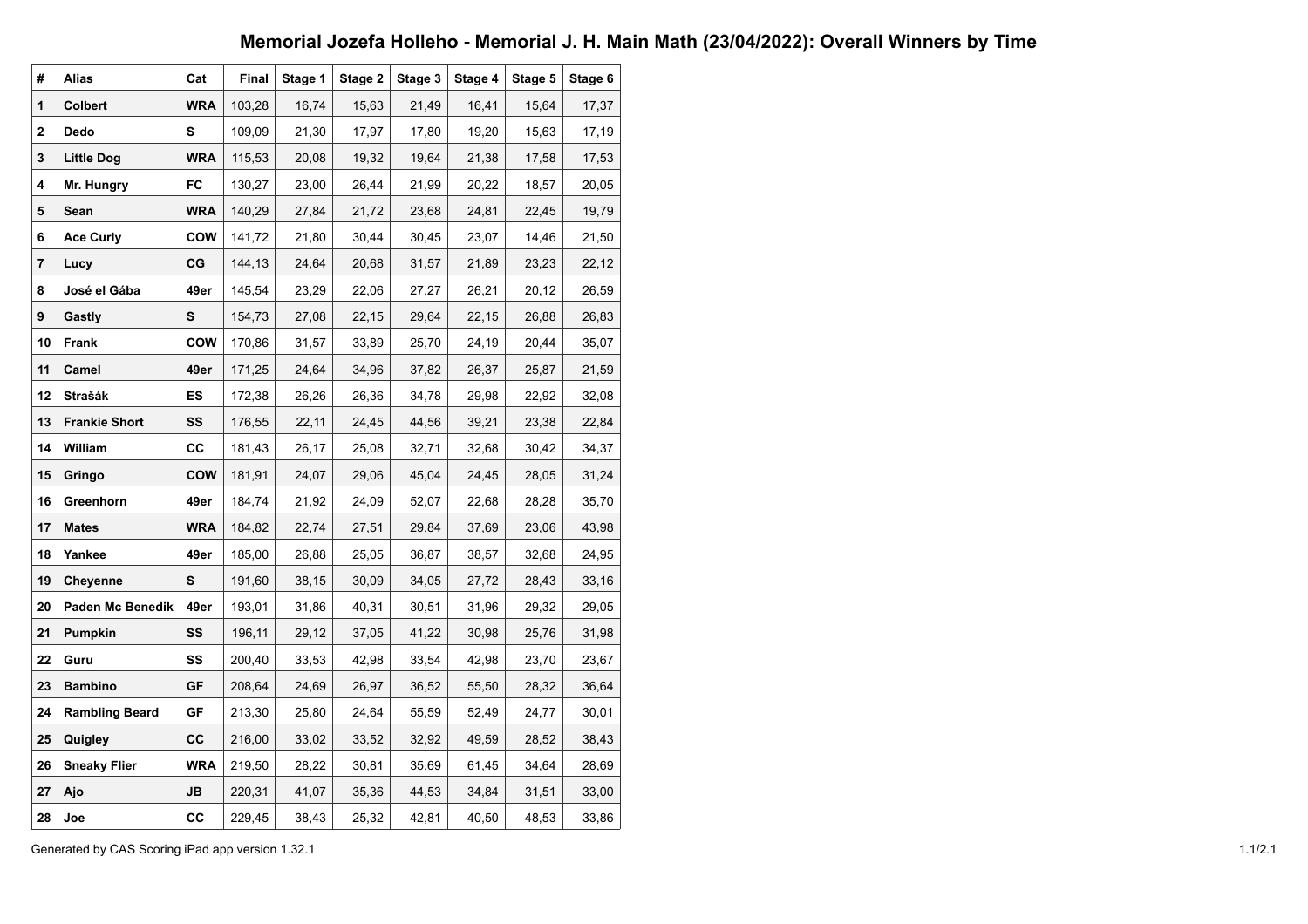## **Memorial Jozefa Holleho - Memorial J. H. Main Math (23/04/2022): Overall Winners by Time**

| #  | <b>Alias</b>            | Cat        | Final  | Stage 1 | Stage 2 | Stage 3 | Stage 4 | Stage 5 | Stage 6 |
|----|-------------------------|------------|--------|---------|---------|---------|---------|---------|---------|
| 1  | <b>Colbert</b>          | <b>WRA</b> | 103,28 | 16,74   | 15,63   | 21,49   | 16,41   | 15,64   | 17,37   |
| 2  | Dedo                    | s          | 109,09 | 21,30   | 17,97   | 17,80   | 19,20   | 15,63   | 17,19   |
| 3  | <b>Little Dog</b>       | <b>WRA</b> | 115,53 | 20,08   | 19,32   | 19,64   | 21,38   | 17,58   | 17,53   |
| 4  | Mr. Hungry              | FC         | 130,27 | 23,00   | 26,44   | 21,99   | 20,22   | 18,57   | 20,05   |
| 5  | Sean                    | <b>WRA</b> | 140,29 | 27,84   | 21,72   | 23,68   | 24,81   | 22,45   | 19,79   |
| 6  | <b>Ace Curly</b>        | cow        | 141,72 | 21,80   | 30,44   | 30,45   | 23,07   | 14,46   | 21,50   |
| 7  | Lucy                    | СG         | 144,13 | 24,64   | 20,68   | 31,57   | 21,89   | 23,23   | 22,12   |
| 8  | José el Gába            | 49er       | 145,54 | 23,29   | 22,06   | 27,27   | 26,21   | 20,12   | 26,59   |
| 9  | Gastly                  | S          | 154,73 | 27,08   | 22,15   | 29,64   | 22,15   | 26,88   | 26,83   |
| 10 | Frank                   | cow        | 170,86 | 31,57   | 33,89   | 25,70   | 24,19   | 20,44   | 35,07   |
| 11 | Camel                   | 49er       | 171,25 | 24,64   | 34,96   | 37,82   | 26,37   | 25,87   | 21,59   |
| 12 | Strašák                 | ES         | 172,38 | 26,26   | 26,36   | 34,78   | 29,98   | 22,92   | 32,08   |
| 13 | <b>Frankie Short</b>    | SS         | 176,55 | 22,11   | 24,45   | 44,56   | 39,21   | 23,38   | 22,84   |
| 14 | William                 | СC         | 181,43 | 26,17   | 25,08   | 32,71   | 32,68   | 30,42   | 34,37   |
| 15 | Gringo                  | <b>COW</b> | 181,91 | 24,07   | 29,06   | 45,04   | 24,45   | 28,05   | 31,24   |
| 16 | Greenhorn               | 49er       | 184,74 | 21,92   | 24,09   | 52,07   | 22,68   | 28,28   | 35,70   |
| 17 | <b>Mates</b>            | <b>WRA</b> | 184,82 | 22,74   | 27,51   | 29,84   | 37,69   | 23,06   | 43,98   |
| 18 | Yankee                  | 49er       | 185,00 | 26,88   | 25,05   | 36,87   | 38,57   | 32,68   | 24,95   |
| 19 | <b>Cheyenne</b>         | S          | 191,60 | 38,15   | 30,09   | 34,05   | 27,72   | 28,43   | 33,16   |
| 20 | <b>Paden Mc Benedik</b> | 49er       | 193,01 | 31,86   | 40,31   | 30,51   | 31,96   | 29,32   | 29,05   |
| 21 | Pumpkin                 | SS         | 196,11 | 29,12   | 37,05   | 41,22   | 30,98   | 25,76   | 31,98   |
| 22 | Guru                    | SS         | 200,40 | 33,53   | 42,98   | 33,54   | 42,98   | 23,70   | 23,67   |
| 23 | <b>Bambino</b>          | GF         | 208,64 | 24,69   | 26,97   | 36,52   | 55,50   | 28,32   | 36,64   |
| 24 | <b>Rambling Beard</b>   | GF         | 213,30 | 25,80   | 24,64   | 55,59   | 52,49   | 24,77   | 30,01   |
| 25 | Quigley                 | <b>CC</b>  | 216,00 | 33,02   | 33,52   | 32,92   | 49,59   | 28,52   | 38,43   |
| 26 | <b>Sneaky Flier</b>     | <b>WRA</b> | 219,50 | 28,22   | 30,81   | 35,69   | 61,45   | 34,64   | 28,69   |
| 27 | Ajo                     | JB         | 220,31 | 41,07   | 35,36   | 44,53   | 34,84   | 31,51   | 33,00   |
| 28 | Joe                     | cc         | 229,45 | 38,43   | 25,32   | 42,81   | 40,50   | 48,53   | 33,86   |

Generated by CAS Scoring iPad app version 1.32.1 1.1/2.1